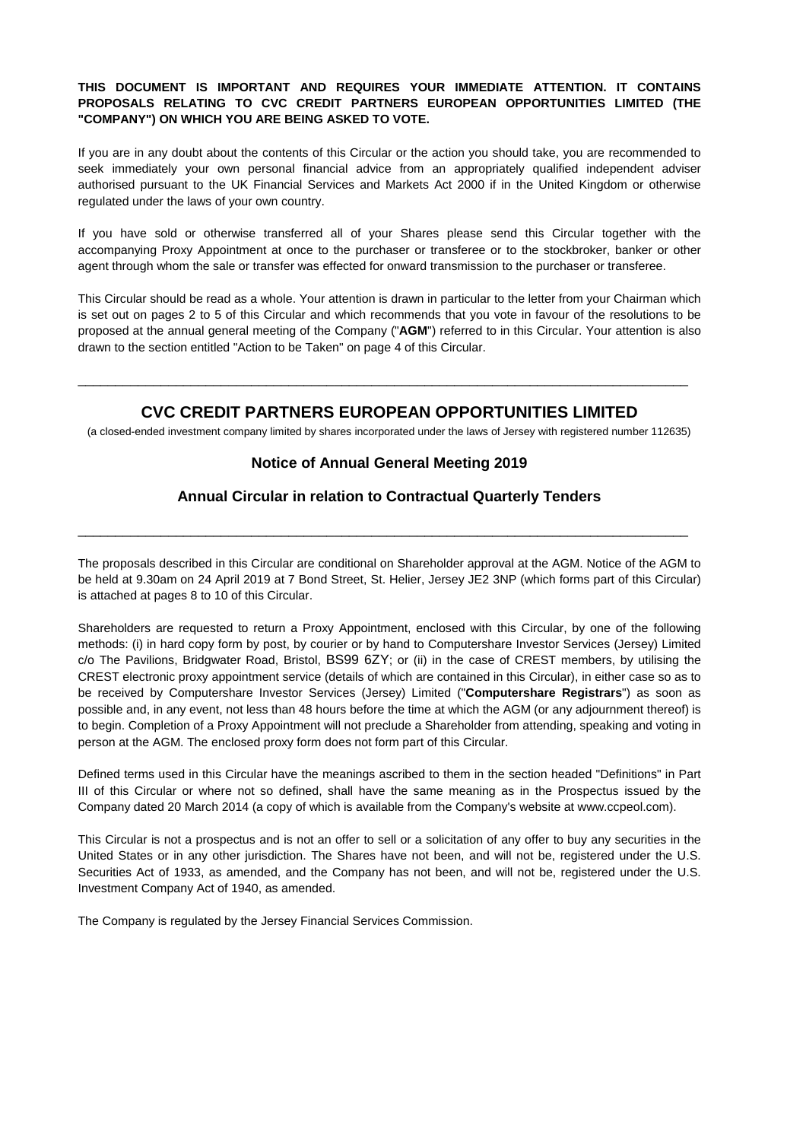### **THIS DOCUMENT IS IMPORTANT AND REQUIRES YOUR IMMEDIATE ATTENTION. IT CONTAINS PROPOSALS RELATING TO CVC CREDIT PARTNERS EUROPEAN OPPORTUNITIES LIMITED (THE "COMPANY") ON WHICH YOU ARE BEING ASKED TO VOTE.**

If you are in any doubt about the contents of this Circular or the action you should take, you are recommended to seek immediately your own personal financial advice from an appropriately qualified independent adviser authorised pursuant to the UK Financial Services and Markets Act 2000 if in the United Kingdom or otherwise regulated under the laws of your own country.

If you have sold or otherwise transferred all of your Shares please send this Circular together with the accompanying Proxy Appointment at once to the purchaser or transferee or to the stockbroker, banker or other agent through whom the sale or transfer was effected for onward transmission to the purchaser or transferee.

This Circular should be read as a whole. Your attention is drawn in particular to the letter from your Chairman which is set out on pages 2 to 5 of this Circular and which recommends that you vote in favour of the resolutions to be proposed at the annual general meeting of the Company ("**AGM**") referred to in this Circular. Your attention is also drawn to the section entitled "Action to be Taken" on page 4 of this Circular.

# **CVC CREDIT PARTNERS EUROPEAN OPPORTUNITIES LIMITED**

\_\_\_\_\_\_\_\_\_\_\_\_\_\_\_\_\_\_\_\_\_\_\_\_\_\_\_\_\_\_\_\_\_\_\_\_\_\_\_\_\_\_\_\_\_\_\_\_\_\_\_\_\_\_\_\_\_\_\_\_\_\_\_\_\_\_\_\_\_\_\_\_\_\_\_\_\_\_\_\_\_

(a closed-ended investment company limited by shares incorporated under the laws of Jersey with registered number 112635)

# **Notice of Annual General Meeting 2019**

# **Annual Circular in relation to Contractual Quarterly Tenders**

\_\_\_\_\_\_\_\_\_\_\_\_\_\_\_\_\_\_\_\_\_\_\_\_\_\_\_\_\_\_\_\_\_\_\_\_\_\_\_\_\_\_\_\_\_\_\_\_\_\_\_\_\_\_\_\_\_\_\_\_\_\_\_\_\_\_\_\_\_\_\_\_\_\_\_\_\_\_\_\_\_

The proposals described in this Circular are conditional on Shareholder approval at the AGM. Notice of the AGM to be held at 9.30am on 24 April 2019 at 7 Bond Street, St. Helier, Jersey JE2 3NP (which forms part of this Circular) is attached at pages 8 to 10 of this Circular.

Shareholders are requested to return a Proxy Appointment, enclosed with this Circular, by one of the following methods: (i) in hard copy form by post, by courier or by hand to Computershare Investor Services (Jersey) Limited c/o The Pavilions, Bridgwater Road, Bristol, BS99 6ZY; or (ii) in the case of CREST members, by utilising the CREST electronic proxy appointment service (details of which are contained in this Circular), in either case so as to be received by Computershare Investor Services (Jersey) Limited ("**Computershare Registrars**") as soon as possible and, in any event, not less than 48 hours before the time at which the AGM (or any adjournment thereof) is to begin. Completion of a Proxy Appointment will not preclude a Shareholder from attending, speaking and voting in person at the AGM. The enclosed proxy form does not form part of this Circular.

Defined terms used in this Circular have the meanings ascribed to them in the section headed "Definitions" in Part III of this Circular or where not so defined, shall have the same meaning as in the Prospectus issued by the Company dated 20 March 2014 (a copy of which is available from the Company's website at www.ccpeol.com).

This Circular is not a prospectus and is not an offer to sell or a solicitation of any offer to buy any securities in the United States or in any other jurisdiction. The Shares have not been, and will not be, registered under the U.S. Securities Act of 1933, as amended, and the Company has not been, and will not be, registered under the U.S. Investment Company Act of 1940, as amended.

The Company is regulated by the Jersey Financial Services Commission.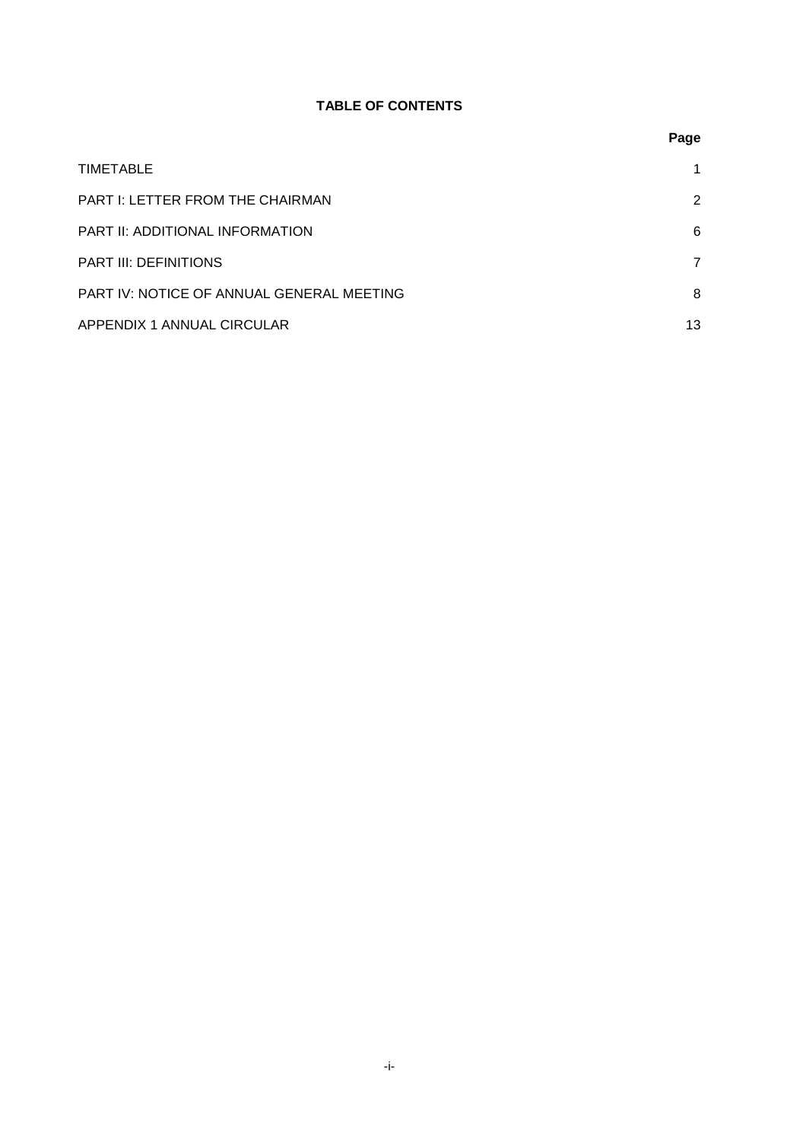# **TABLE OF CONTENTS**

|                                           | Page           |
|-------------------------------------------|----------------|
| TIMETABLE                                 |                |
| <b>PART I: LETTER FROM THE CHAIRMAN</b>   | 2              |
| PART II: ADDITIONAL INFORMATION           | 6              |
| <b>PART III: DEFINITIONS</b>              | $\overline{7}$ |
| PART IV: NOTICE OF ANNUAL GENERAL MEETING | 8              |
| APPENDIX 1 ANNUAL CIRCULAR                | 13             |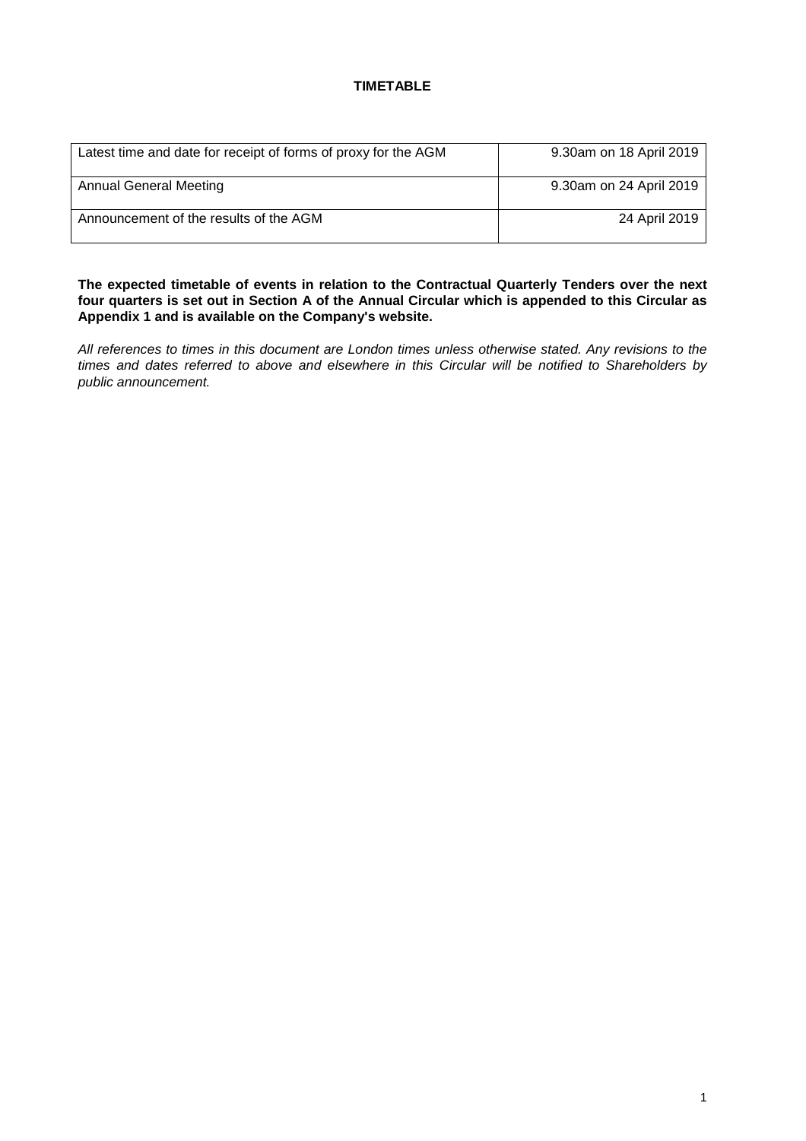# **TIMETABLE**

| Latest time and date for receipt of forms of proxy for the AGM | 9.30am on 18 April 2019 |
|----------------------------------------------------------------|-------------------------|
| Annual General Meeting                                         | 9.30am on 24 April 2019 |
| Announcement of the results of the AGM                         | 24 April 2019           |

**The expected timetable of events in relation to the Contractual Quarterly Tenders over the next four quarters is set out in Section A of the Annual Circular which is appended to this Circular as Appendix 1 and is available on the Company's website.**

*All references to times in this document are London times unless otherwise stated. Any revisions to the times and dates referred to above and elsewhere in this Circular will be notified to Shareholders by public announcement.*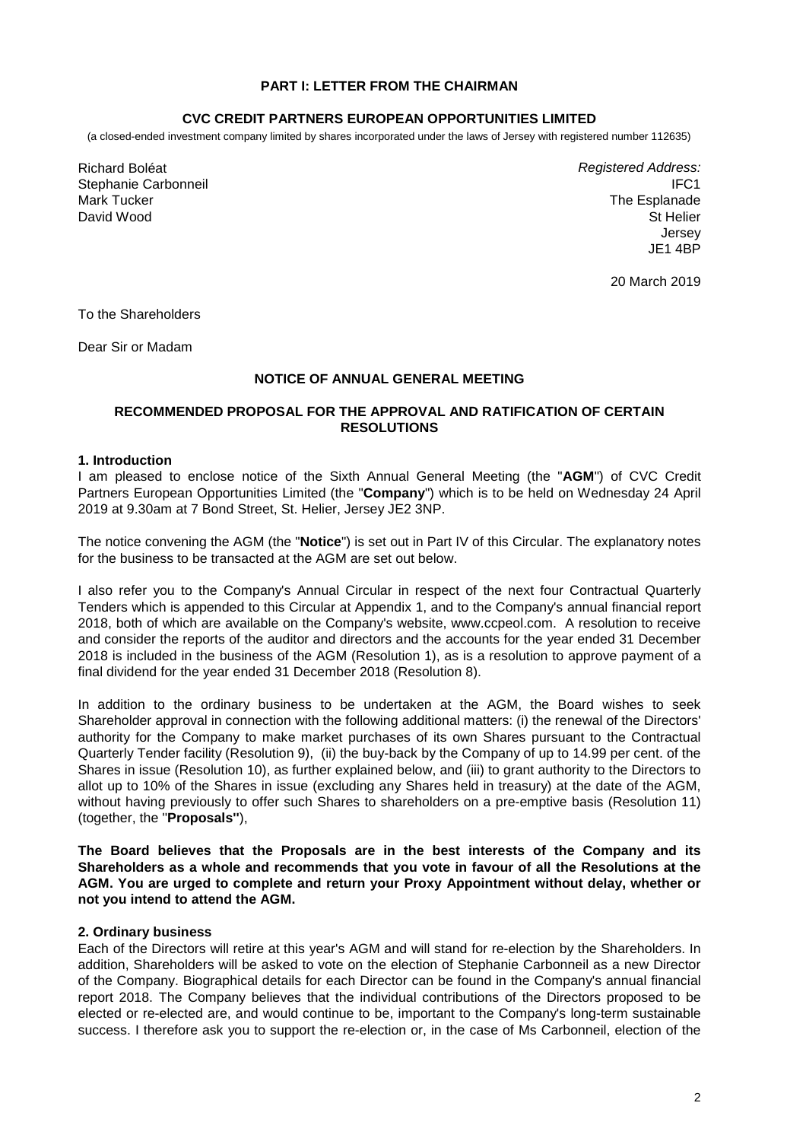### **PART I: LETTER FROM THE CHAIRMAN**

#### **CVC CREDIT PARTNERS EUROPEAN OPPORTUNITIES LIMITED**

(a closed-ended investment company limited by shares incorporated under the laws of Jersey with registered number 112635)

Richard Boléat Stephanie Carbonneil Mark Tucker David Wood

*Registered Address:* IFC1 The Esplanade St Helier Jersey JE1 4BP

20 March 2019

To the Shareholders

Dear Sir or Madam

### **NOTICE OF ANNUAL GENERAL MEETING**

### **RECOMMENDED PROPOSAL FOR THE APPROVAL AND RATIFICATION OF CERTAIN RESOLUTIONS**

#### **1. Introduction**

I am pleased to enclose notice of the Sixth Annual General Meeting (the "**AGM**") of CVC Credit Partners European Opportunities Limited (the "**Company**") which is to be held on Wednesday 24 April 2019 at 9.30am at 7 Bond Street, St. Helier, Jersey JE2 3NP.

The notice convening the AGM (the "**Notice**") is set out in Part IV of this Circular. The explanatory notes for the business to be transacted at the AGM are set out below.

I also refer you to the Company's Annual Circular in respect of the next four Contractual Quarterly Tenders which is appended to this Circular at Appendix 1, and to the Company's annual financial report 2018, both of which are available on the Company's website, www.ccpeol.com. A resolution to receive and consider the reports of the auditor and directors and the accounts for the year ended 31 December 2018 is included in the business of the AGM (Resolution 1), as is a resolution to approve payment of a final dividend for the year ended 31 December 2018 (Resolution 8).

In addition to the ordinary business to be undertaken at the AGM, the Board wishes to seek Shareholder approval in connection with the following additional matters: (i) the renewal of the Directors' authority for the Company to make market purchases of its own Shares pursuant to the Contractual Quarterly Tender facility (Resolution 9), (ii) the buy-back by the Company of up to 14.99 per cent. of the Shares in issue (Resolution 10), as further explained below, and (iii) to grant authority to the Directors to allot up to 10% of the Shares in issue (excluding any Shares held in treasury) at the date of the AGM, without having previously to offer such Shares to shareholders on a pre-emptive basis (Resolution 11) (together, the ''**Proposals''**),

**The Board believes that the Proposals are in the best interests of the Company and its Shareholders as a whole and recommends that you vote in favour of all the Resolutions at the AGM. You are urged to complete and return your Proxy Appointment without delay, whether or not you intend to attend the AGM.**

#### **2. Ordinary business**

Each of the Directors will retire at this year's AGM and will stand for re-election by the Shareholders. In addition, Shareholders will be asked to vote on the election of Stephanie Carbonneil as a new Director of the Company. Biographical details for each Director can be found in the Company's annual financial report 2018. The Company believes that the individual contributions of the Directors proposed to be elected or re-elected are, and would continue to be, important to the Company's long-term sustainable success. I therefore ask you to support the re-election or, in the case of Ms Carbonneil, election of the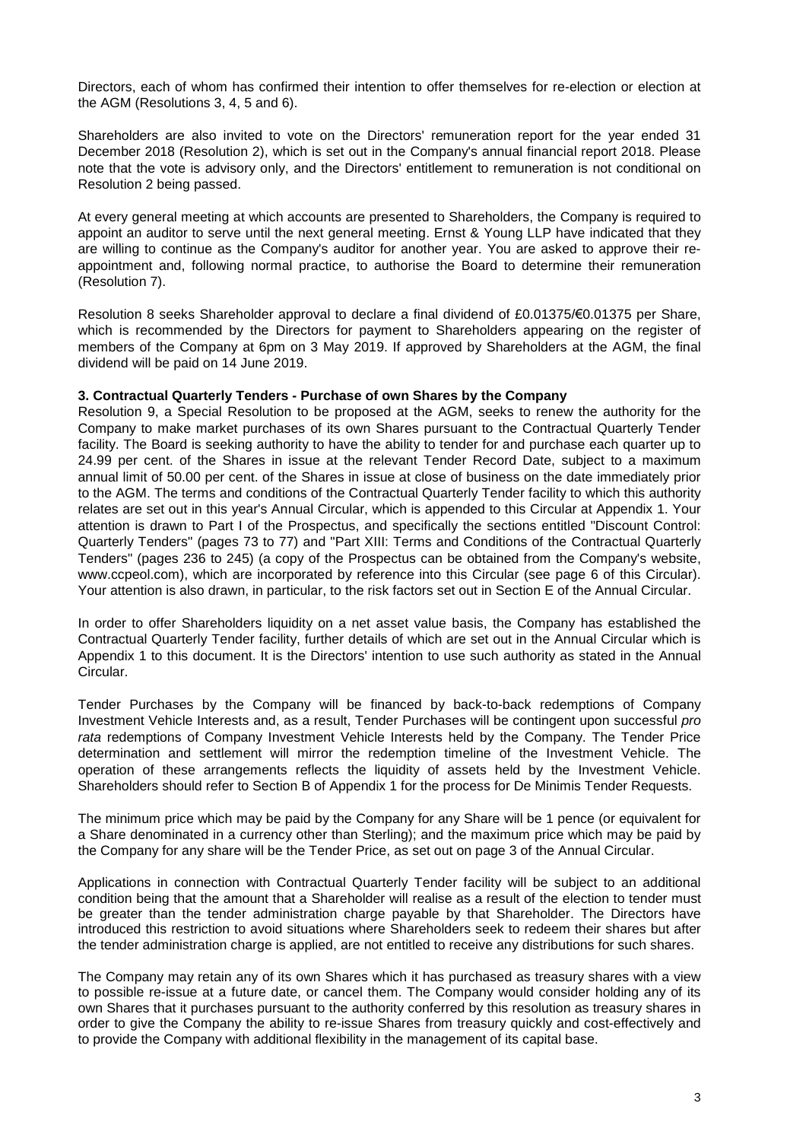Directors, each of whom has confirmed their intention to offer themselves for re-election or election at the AGM (Resolutions 3, 4, 5 and 6).

Shareholders are also invited to vote on the Directors' remuneration report for the year ended 31 December 2018 (Resolution 2), which is set out in the Company's annual financial report 2018. Please note that the vote is advisory only, and the Directors' entitlement to remuneration is not conditional on Resolution 2 being passed.

At every general meeting at which accounts are presented to Shareholders, the Company is required to appoint an auditor to serve until the next general meeting. Ernst & Young LLP have indicated that they are willing to continue as the Company's auditor for another year. You are asked to approve their reappointment and, following normal practice, to authorise the Board to determine their remuneration (Resolution 7).

Resolution 8 seeks Shareholder approval to declare a final dividend of £0.01375/€0.01375 per Share, which is recommended by the Directors for payment to Shareholders appearing on the register of members of the Company at 6pm on 3 May 2019. If approved by Shareholders at the AGM, the final dividend will be paid on 14 June 2019.

#### **3. Contractual Quarterly Tenders - Purchase of own Shares by the Company**

Resolution 9, a Special Resolution to be proposed at the AGM, seeks to renew the authority for the Company to make market purchases of its own Shares pursuant to the Contractual Quarterly Tender facility. The Board is seeking authority to have the ability to tender for and purchase each quarter up to 24.99 per cent. of the Shares in issue at the relevant Tender Record Date, subject to a maximum annual limit of 50.00 per cent. of the Shares in issue at close of business on the date immediately prior to the AGM. The terms and conditions of the Contractual Quarterly Tender facility to which this authority relates are set out in this year's Annual Circular, which is appended to this Circular at Appendix 1. Your attention is drawn to Part I of the Prospectus, and specifically the sections entitled "Discount Control: Quarterly Tenders" (pages 73 to 77) and "Part XIII: Terms and Conditions of the Contractual Quarterly Tenders" (pages 236 to 245) (a copy of the Prospectus can be obtained from the Company's website, www.ccpeol.com), which are incorporated by reference into this Circular (see page 6 of this Circular). Your attention is also drawn, in particular, to the risk factors set out in Section E of the Annual Circular.

In order to offer Shareholders liquidity on a net asset value basis, the Company has established the Contractual Quarterly Tender facility, further details of which are set out in the Annual Circular which is Appendix 1 to this document. It is the Directors' intention to use such authority as stated in the Annual Circular.

Tender Purchases by the Company will be financed by back-to-back redemptions of Company Investment Vehicle Interests and, as a result, Tender Purchases will be contingent upon successful *pro rata* redemptions of Company Investment Vehicle Interests held by the Company. The Tender Price determination and settlement will mirror the redemption timeline of the Investment Vehicle. The operation of these arrangements reflects the liquidity of assets held by the Investment Vehicle. Shareholders should refer to Section B of Appendix 1 for the process for De Minimis Tender Requests.

The minimum price which may be paid by the Company for any Share will be 1 pence (or equivalent for a Share denominated in a currency other than Sterling); and the maximum price which may be paid by the Company for any share will be the Tender Price, as set out on page 3 of the Annual Circular.

Applications in connection with Contractual Quarterly Tender facility will be subject to an additional condition being that the amount that a Shareholder will realise as a result of the election to tender must be greater than the tender administration charge payable by that Shareholder. The Directors have introduced this restriction to avoid situations where Shareholders seek to redeem their shares but after the tender administration charge is applied, are not entitled to receive any distributions for such shares.

The Company may retain any of its own Shares which it has purchased as treasury shares with a view to possible re-issue at a future date, or cancel them. The Company would consider holding any of its own Shares that it purchases pursuant to the authority conferred by this resolution as treasury shares in order to give the Company the ability to re-issue Shares from treasury quickly and cost-effectively and to provide the Company with additional flexibility in the management of its capital base.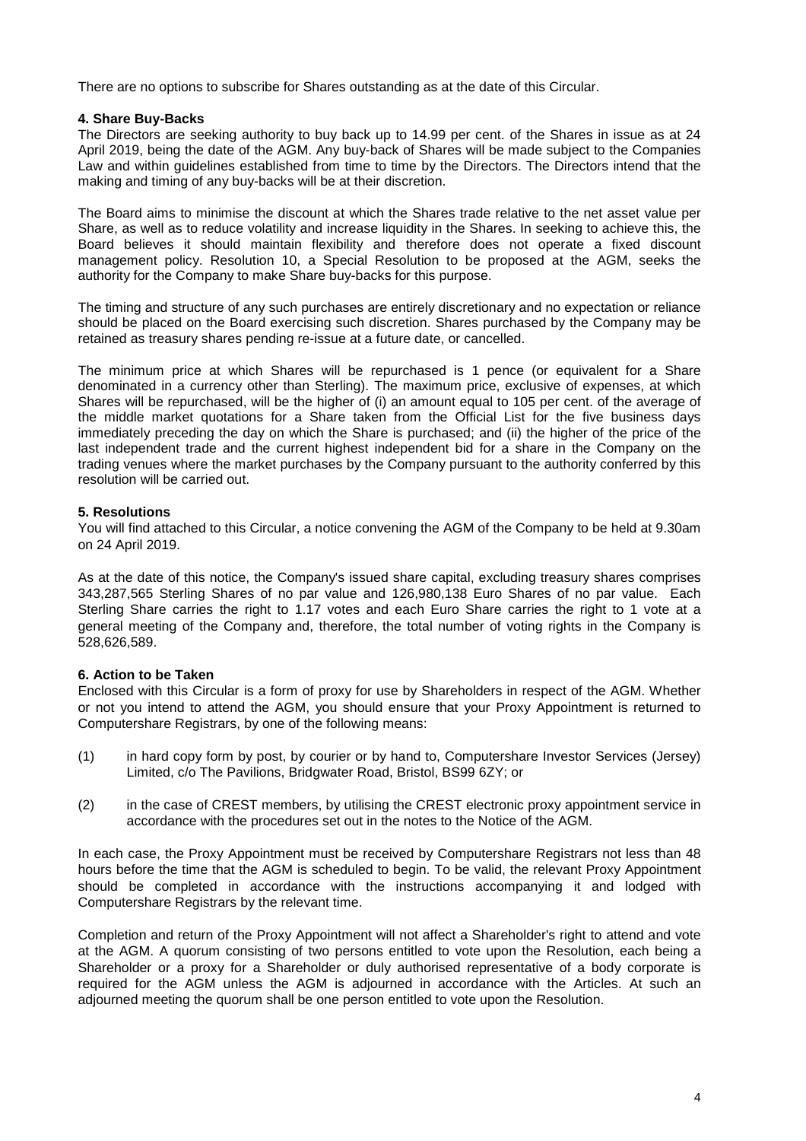There are no options to subscribe for Shares outstanding as at the date of this Circular.

# **4. Share Buy-Backs**

The Directors are seeking authority to buy back up to 14.99 per cent. of the Shares in issue as at 24 April 2019, being the date of the AGM. Any buy-back of Shares will be made subject to the Companies Law and within guidelines established from time to time by the Directors. The Directors intend that the making and timing of any buy-backs will be at their discretion.

The Board aims to minimise the discount at which the Shares trade relative to the net asset value per Share, as well as to reduce volatility and increase liquidity in the Shares. In seeking to achieve this, the Board believes it should maintain flexibility and therefore does not operate a fixed discount management policy. Resolution 10, a Special Resolution to be proposed at the AGM, seeks the authority for the Company to make Share buy-backs for this purpose.

The timing and structure of any such purchases are entirely discretionary and no expectation or reliance should be placed on the Board exercising such discretion. Shares purchased by the Company may be retained as treasury shares pending re-issue at a future date, or cancelled.

The minimum price at which Shares will be repurchased is 1 pence (or equivalent for a Share denominated in a currency other than Sterling). The maximum price, exclusive of expenses, at which Shares will be repurchased, will be the higher of (i) an amount equal to 105 per cent. of the average of the middle market quotations for a Share taken from the Official List for the five business days immediately preceding the day on which the Share is purchased; and (ii) the higher of the price of the last independent trade and the current highest independent bid for a share in the Company on the trading venues where the market purchases by the Company pursuant to the authority conferred by this resolution will be carried out.

# **5. Resolutions**

You will find attached to this Circular, a notice convening the AGM of the Company to be held at 9.30am on 24 April 2019.

As at the date of this notice, the Company's issued share capital, excluding treasury shares comprises 343,287,565 Sterling Shares of no par value and 126,980,138 Euro Shares of no par value. Each Sterling Share carries the right to 1.17 votes and each Euro Share carries the right to 1 vote at a general meeting of the Company and, therefore, the total number of voting rights in the Company is 528,626,589.

# **6. Action to be Taken**

Enclosed with this Circular is a form of proxy for use by Shareholders in respect of the AGM. Whether or not you intend to attend the AGM, you should ensure that your Proxy Appointment is returned to Computershare Registrars, by one of the following means:

- (1) in hard copy form by post, by courier or by hand to, Computershare Investor Services (Jersey) Limited, c/o The Pavilions, Bridgwater Road, Bristol, BS99 6ZY; or
- (2) in the case of CREST members, by utilising the CREST electronic proxy appointment service in accordance with the procedures set out in the notes to the Notice of the AGM.

In each case, the Proxy Appointment must be received by Computershare Registrars not less than 48 hours before the time that the AGM is scheduled to begin. To be valid, the relevant Proxy Appointment should be completed in accordance with the instructions accompanying it and lodged with Computershare Registrars by the relevant time.

Completion and return of the Proxy Appointment will not affect a Shareholder's right to attend and vote at the AGM. A quorum consisting of two persons entitled to vote upon the Resolution, each being a Shareholder or a proxy for a Shareholder or duly authorised representative of a body corporate is required for the AGM unless the AGM is adjourned in accordance with the Articles. At such an adjourned meeting the quorum shall be one person entitled to vote upon the Resolution.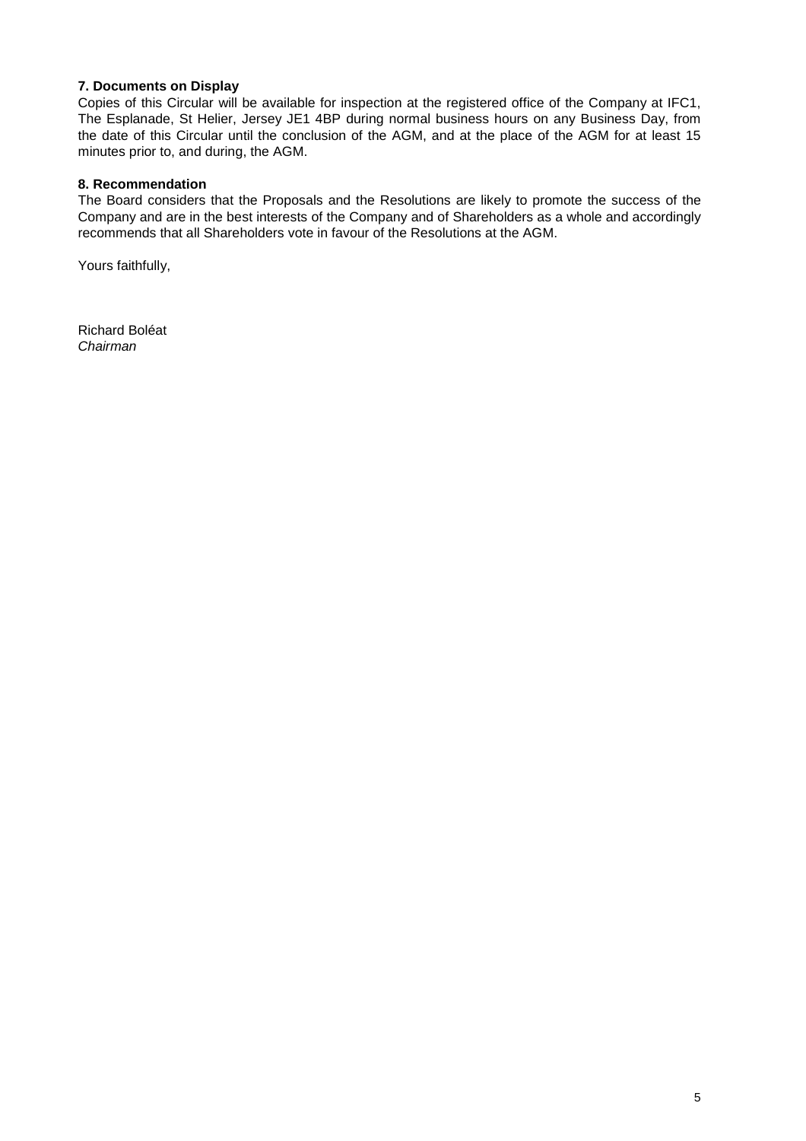# **7. Documents on Display**

Copies of this Circular will be available for inspection at the registered office of the Company at IFC1, The Esplanade, St Helier, Jersey JE1 4BP during normal business hours on any Business Day, from the date of this Circular until the conclusion of the AGM, and at the place of the AGM for at least 15 minutes prior to, and during, the AGM.

### **8. Recommendation**

The Board considers that the Proposals and the Resolutions are likely to promote the success of the Company and are in the best interests of the Company and of Shareholders as a whole and accordingly recommends that all Shareholders vote in favour of the Resolutions at the AGM.

Yours faithfully,

Richard Boléat *Chairman*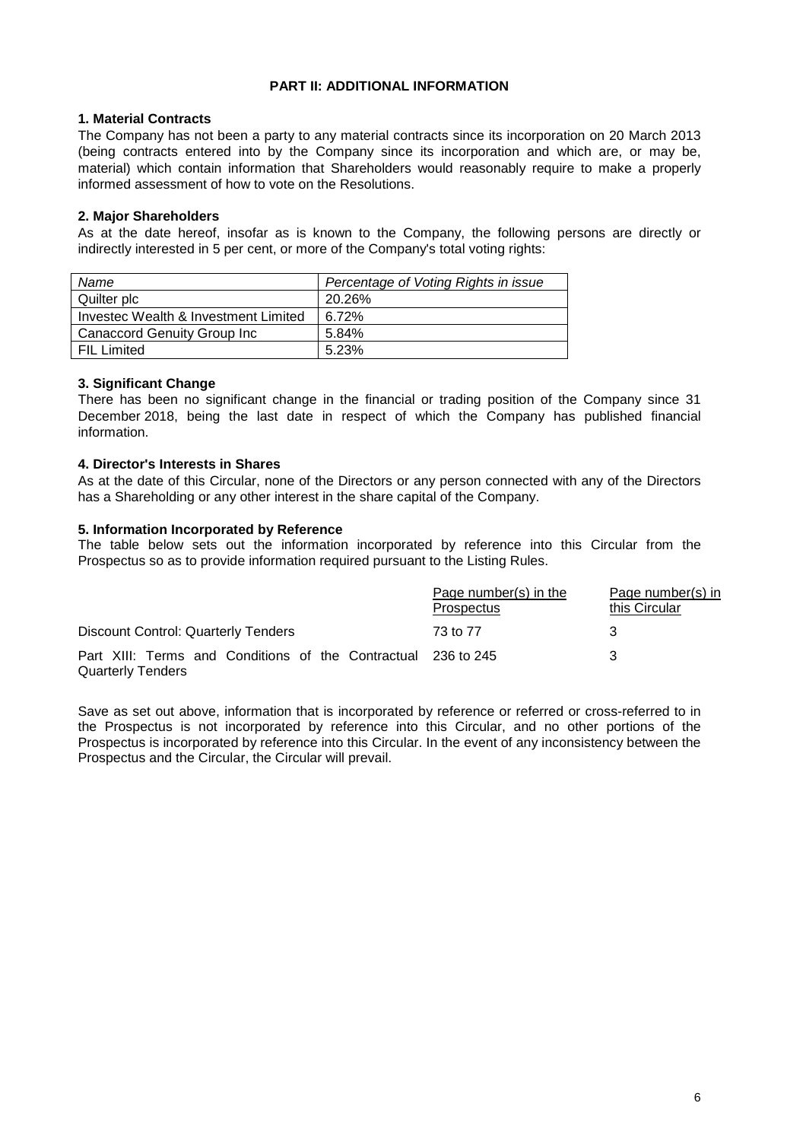# **PART II: ADDITIONAL INFORMATION**

# **1. Material Contracts**

The Company has not been a party to any material contracts since its incorporation on 20 March 2013 (being contracts entered into by the Company since its incorporation and which are, or may be, material) which contain information that Shareholders would reasonably require to make a properly informed assessment of how to vote on the Resolutions.

# **2. Major Shareholders**

As at the date hereof, insofar as is known to the Company, the following persons are directly or indirectly interested in 5 per cent, or more of the Company's total voting rights:

| Name                                 | Percentage of Voting Rights in issue |
|--------------------------------------|--------------------------------------|
| Quilter plc                          | 20.26%                               |
| Investec Wealth & Investment Limited | $6.72\%$                             |
| Canaccord Genuity Group Inc          | 5.84%                                |
| FIL Limited                          | 5.23%                                |

# **3. Significant Change**

There has been no significant change in the financial or trading position of the Company since 31 December 2018, being the last date in respect of which the Company has published financial information.

# **4. Director's Interests in Shares**

As at the date of this Circular, none of the Directors or any person connected with any of the Directors has a Shareholding or any other interest in the share capital of the Company.

# **5. Information Incorporated by Reference**

The table below sets out the information incorporated by reference into this Circular from the Prospectus so as to provide information required pursuant to the Listing Rules.

|                                                                                           | Page number(s) in the<br>Prospectus | Page number(s) in<br>this Circular |
|-------------------------------------------------------------------------------------------|-------------------------------------|------------------------------------|
| Discount Control: Quarterly Tenders                                                       | 73 to 77                            | З                                  |
| Part XIII: Terms and Conditions of the Contractual 236 to 245<br><b>Quarterly Tenders</b> |                                     | 3                                  |

Save as set out above, information that is incorporated by reference or referred or cross-referred to in the Prospectus is not incorporated by reference into this Circular, and no other portions of the Prospectus is incorporated by reference into this Circular. In the event of any inconsistency between the Prospectus and the Circular, the Circular will prevail.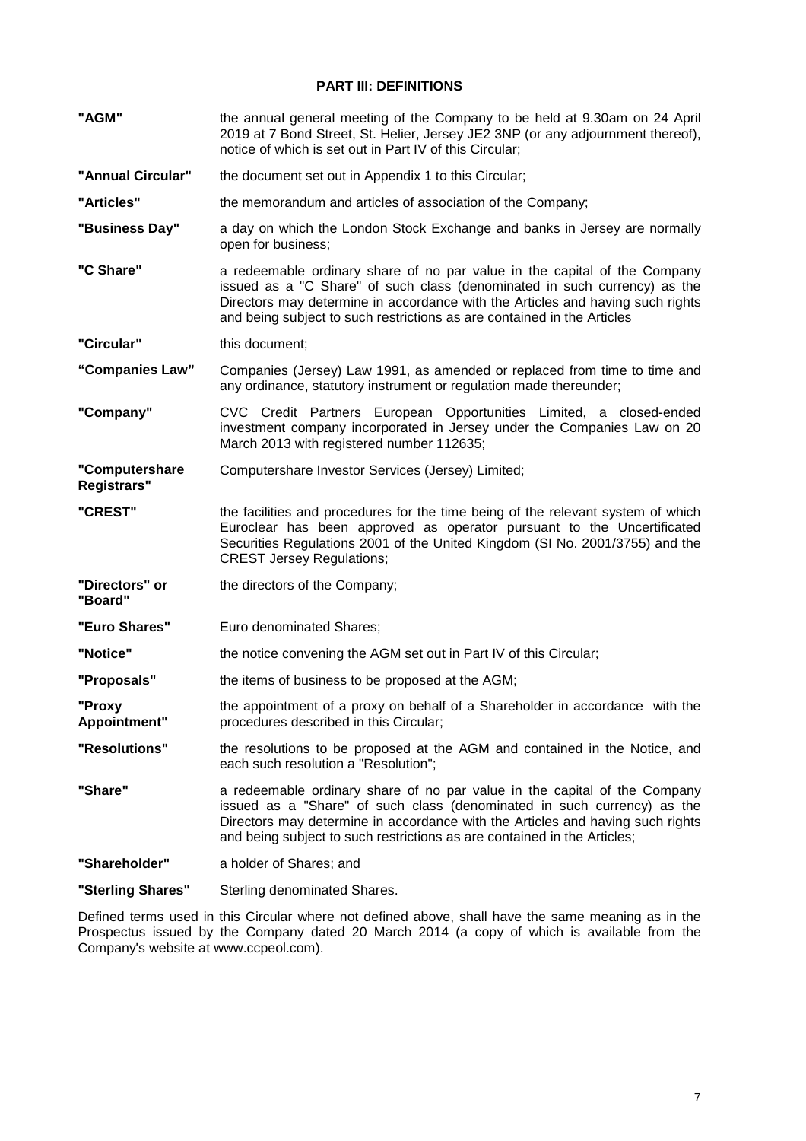# **PART III: DEFINITIONS**

| "AGM"                         | the annual general meeting of the Company to be held at 9.30am on 24 April<br>2019 at 7 Bond Street, St. Helier, Jersey JE2 3NP (or any adjournment thereof),<br>notice of which is set out in Part IV of this Circular;                                                                                            |
|-------------------------------|---------------------------------------------------------------------------------------------------------------------------------------------------------------------------------------------------------------------------------------------------------------------------------------------------------------------|
| "Annual Circular"             | the document set out in Appendix 1 to this Circular;                                                                                                                                                                                                                                                                |
| "Articles"                    | the memorandum and articles of association of the Company;                                                                                                                                                                                                                                                          |
| "Business Day"                | a day on which the London Stock Exchange and banks in Jersey are normally<br>open for business;                                                                                                                                                                                                                     |
| "C Share"                     | a redeemable ordinary share of no par value in the capital of the Company<br>issued as a "C Share" of such class (denominated in such currency) as the<br>Directors may determine in accordance with the Articles and having such rights<br>and being subject to such restrictions as are contained in the Articles |
| "Circular"                    | this document;                                                                                                                                                                                                                                                                                                      |
| "Companies Law"               | Companies (Jersey) Law 1991, as amended or replaced from time to time and<br>any ordinance, statutory instrument or regulation made thereunder;                                                                                                                                                                     |
| "Company"                     | CVC Credit Partners European Opportunities Limited, a closed-ended<br>investment company incorporated in Jersey under the Companies Law on 20<br>March 2013 with registered number 112635;                                                                                                                          |
| "Computershare<br>Registrars" | Computershare Investor Services (Jersey) Limited;                                                                                                                                                                                                                                                                   |
| "CREST"                       | the facilities and procedures for the time being of the relevant system of which<br>Euroclear has been approved as operator pursuant to the Uncertificated<br>Securities Regulations 2001 of the United Kingdom (SI No. 2001/3755) and the<br><b>CREST Jersey Regulations;</b>                                      |
| "Directors" or<br>"Board"     | the directors of the Company;                                                                                                                                                                                                                                                                                       |
| "Euro Shares"                 | Euro denominated Shares;                                                                                                                                                                                                                                                                                            |
| "Notice"                      | the notice convening the AGM set out in Part IV of this Circular;                                                                                                                                                                                                                                                   |
| "Proposals"                   | the items of business to be proposed at the AGM;                                                                                                                                                                                                                                                                    |
| "Proxy<br>Appointment"        | the appointment of a proxy on behalf of a Shareholder in accordance with the<br>procedures described in this Circular;                                                                                                                                                                                              |
| "Resolutions"                 | the resolutions to be proposed at the AGM and contained in the Notice, and<br>each such resolution a "Resolution";                                                                                                                                                                                                  |
| "Share"                       | a redeemable ordinary share of no par value in the capital of the Company<br>issued as a "Share" of such class (denominated in such currency) as the<br>Directors may determine in accordance with the Articles and having such rights<br>and being subject to such restrictions as are contained in the Articles;  |
| "Shareholder"                 | a holder of Shares; and                                                                                                                                                                                                                                                                                             |
| "Sterling Shares"             | Sterling denominated Shares.                                                                                                                                                                                                                                                                                        |

Defined terms used in this Circular where not defined above, shall have the same meaning as in the Prospectus issued by the Company dated 20 March 2014 (a copy of which is available from the Company's website at www.ccpeol.com).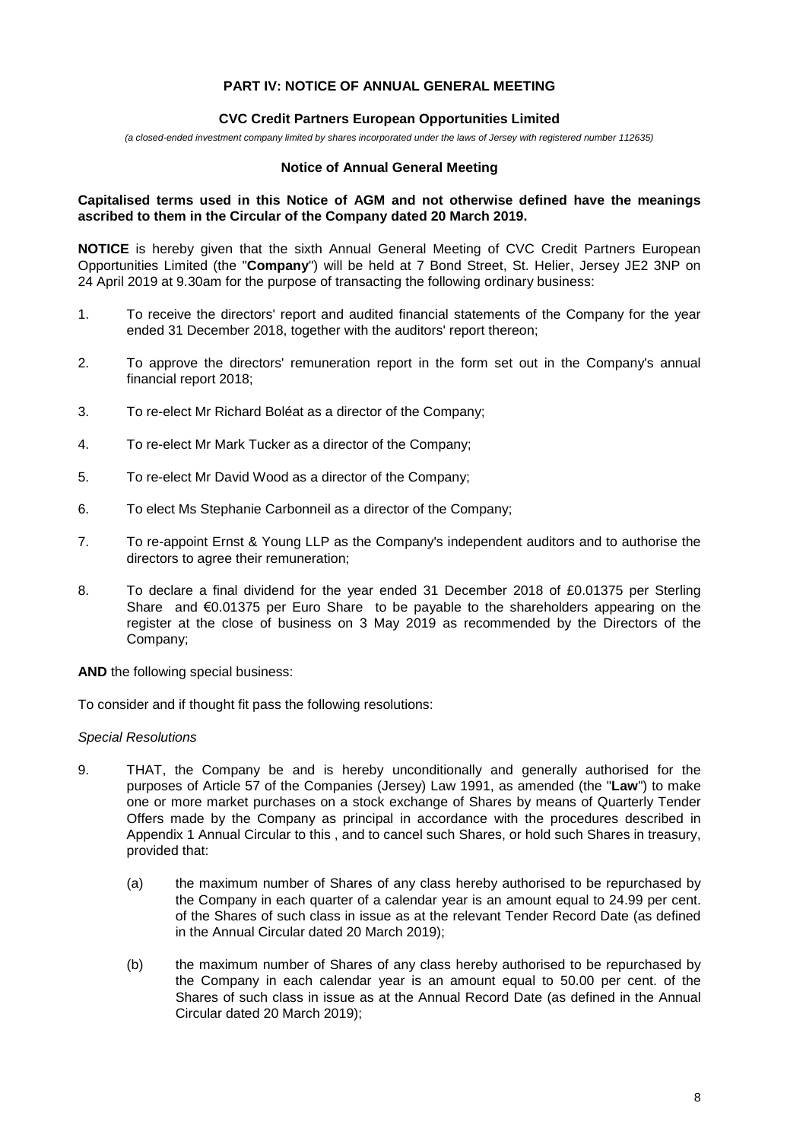# **PART IV: NOTICE OF ANNUAL GENERAL MEETING**

#### **CVC Credit Partners European Opportunities Limited**

*(a closed-ended investment company limited by shares incorporated under the laws of Jersey with registered number 112635)*

#### **Notice of Annual General Meeting**

### **Capitalised terms used in this Notice of AGM and not otherwise defined have the meanings ascribed to them in the Circular of the Company dated 20 March 2019.**

**NOTICE** is hereby given that the sixth Annual General Meeting of CVC Credit Partners European Opportunities Limited (the "**Company**") will be held at 7 Bond Street, St. Helier, Jersey JE2 3NP on 24 April 2019 at 9.30am for the purpose of transacting the following ordinary business:

- 1. To receive the directors' report and audited financial statements of the Company for the year ended 31 December 2018, together with the auditors' report thereon;
- 2. To approve the directors' remuneration report in the form set out in the Company's annual financial report 2018;
- 3. To re-elect Mr Richard Boléat as a director of the Company;
- 4. To re-elect Mr Mark Tucker as a director of the Company;
- 5. To re-elect Mr David Wood as a director of the Company;
- 6. To elect Ms Stephanie Carbonneil as a director of the Company;
- 7. To re-appoint Ernst & Young LLP as the Company's independent auditors and to authorise the directors to agree their remuneration;
- 8. To declare a final dividend for the year ended 31 December 2018 of £0.01375 per Sterling Share and  $\epsilon$ 0.01375 per Euro Share to be payable to the shareholders appearing on the register at the close of business on 3 May 2019 as recommended by the Directors of the Company;

**AND** the following special business:

To consider and if thought fit pass the following resolutions:

#### *Special Resolutions*

- 9. THAT, the Company be and is hereby unconditionally and generally authorised for the purposes of Article 57 of the Companies (Jersey) Law 1991, as amended (the "**Law**") to make one or more market purchases on a stock exchange of Shares by means of Quarterly Tender Offers made by the Company as principal in accordance with the procedures described in Appendix 1 Annual Circular to this , and to cancel such Shares, or hold such Shares in treasury, provided that:
	- (a) the maximum number of Shares of any class hereby authorised to be repurchased by the Company in each quarter of a calendar year is an amount equal to 24.99 per cent. of the Shares of such class in issue as at the relevant Tender Record Date (as defined in the Annual Circular dated 20 March 2019);
	- (b) the maximum number of Shares of any class hereby authorised to be repurchased by the Company in each calendar year is an amount equal to 50.00 per cent. of the Shares of such class in issue as at the Annual Record Date (as defined in the Annual Circular dated 20 March 2019);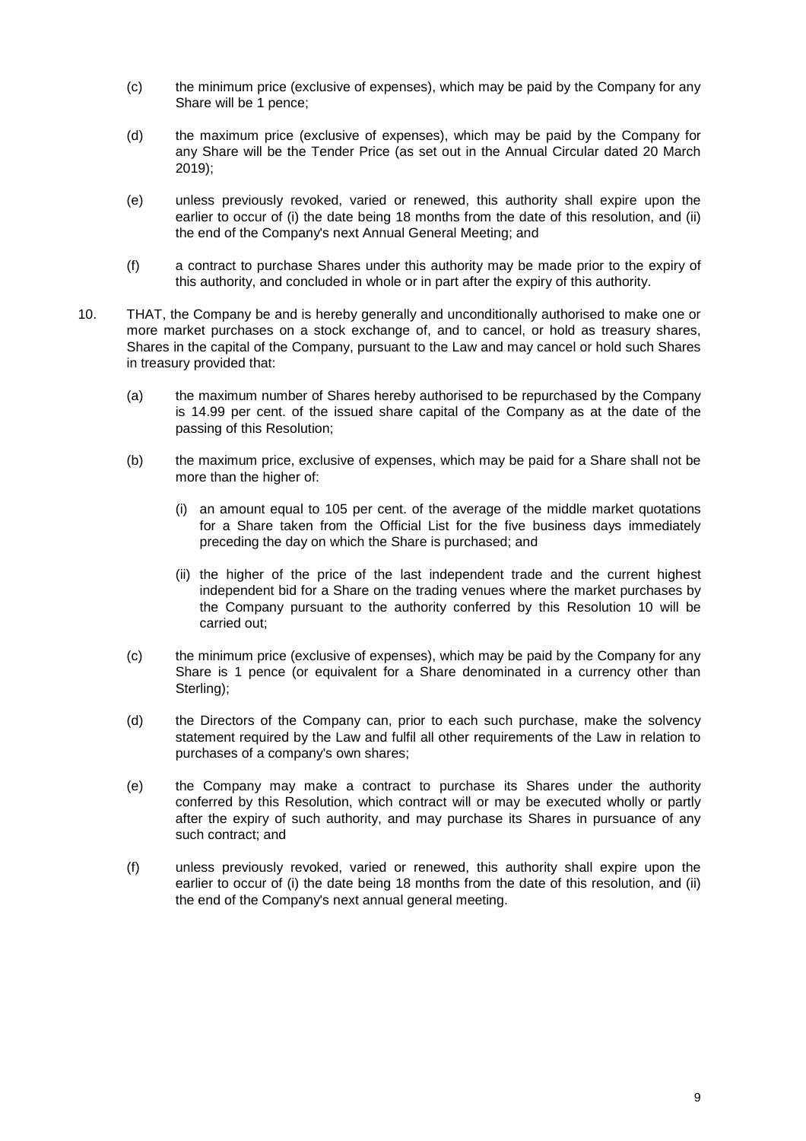- (c) the minimum price (exclusive of expenses), which may be paid by the Company for any Share will be 1 pence;
- (d) the maximum price (exclusive of expenses), which may be paid by the Company for any Share will be the Tender Price (as set out in the Annual Circular dated 20 March 2019);
- (e) unless previously revoked, varied or renewed, this authority shall expire upon the earlier to occur of (i) the date being 18 months from the date of this resolution, and (ii) the end of the Company's next Annual General Meeting; and
- (f) a contract to purchase Shares under this authority may be made prior to the expiry of this authority, and concluded in whole or in part after the expiry of this authority.
- 10. THAT, the Company be and is hereby generally and unconditionally authorised to make one or more market purchases on a stock exchange of, and to cancel, or hold as treasury shares, Shares in the capital of the Company, pursuant to the Law and may cancel or hold such Shares in treasury provided that:
	- (a) the maximum number of Shares hereby authorised to be repurchased by the Company is 14.99 per cent. of the issued share capital of the Company as at the date of the passing of this Resolution;
	- (b) the maximum price, exclusive of expenses, which may be paid for a Share shall not be more than the higher of:
		- (i) an amount equal to 105 per cent. of the average of the middle market quotations for a Share taken from the Official List for the five business days immediately preceding the day on which the Share is purchased; and
		- (ii) the higher of the price of the last independent trade and the current highest independent bid for a Share on the trading venues where the market purchases by the Company pursuant to the authority conferred by this Resolution 10 will be carried out;
	- (c) the minimum price (exclusive of expenses), which may be paid by the Company for any Share is 1 pence (or equivalent for a Share denominated in a currency other than Sterling);
	- (d) the Directors of the Company can, prior to each such purchase, make the solvency statement required by the Law and fulfil all other requirements of the Law in relation to purchases of a company's own shares;
	- (e) the Company may make a contract to purchase its Shares under the authority conferred by this Resolution, which contract will or may be executed wholly or partly after the expiry of such authority, and may purchase its Shares in pursuance of any such contract; and
	- (f) unless previously revoked, varied or renewed, this authority shall expire upon the earlier to occur of (i) the date being 18 months from the date of this resolution, and (ii) the end of the Company's next annual general meeting.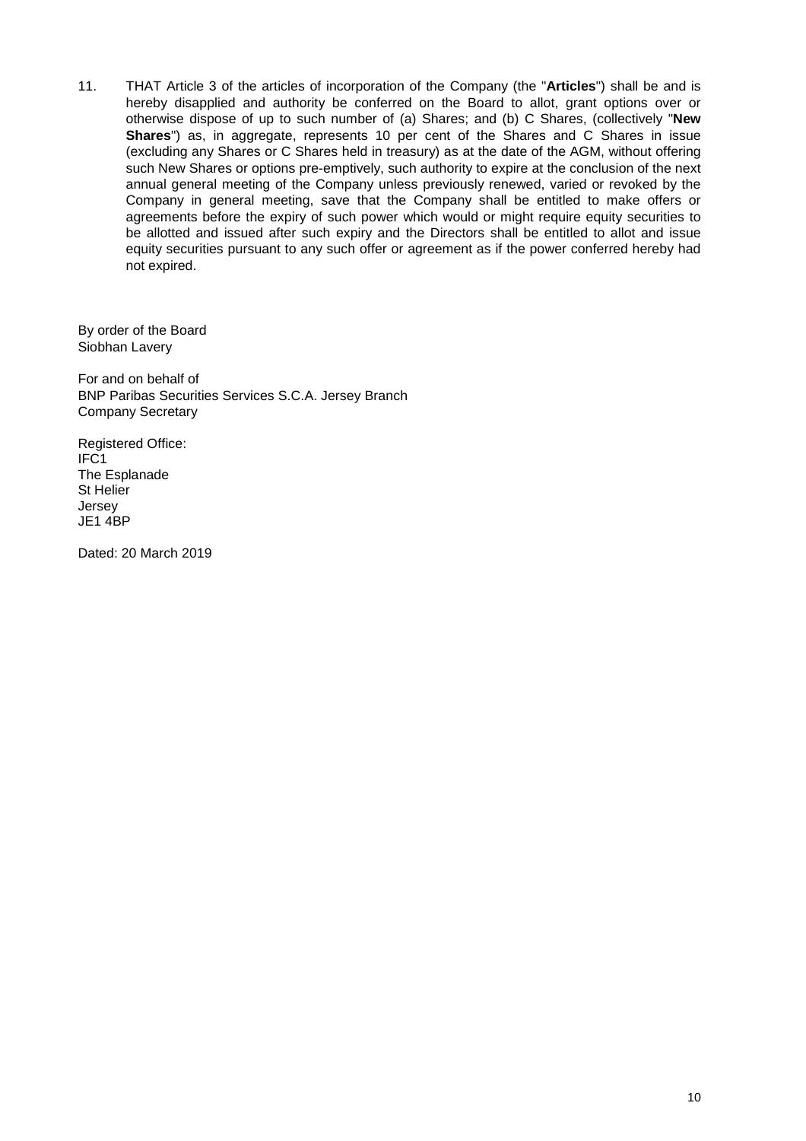11. THAT Article 3 of the articles of incorporation of the Company (the "**Articles**") shall be and is hereby disapplied and authority be conferred on the Board to allot, grant options over or otherwise dispose of up to such number of (a) Shares; and (b) C Shares, (collectively "**New Shares**") as, in aggregate, represents 10 per cent of the Shares and C Shares in issue (excluding any Shares or C Shares held in treasury) as at the date of the AGM, without offering such New Shares or options pre-emptively, such authority to expire at the conclusion of the next annual general meeting of the Company unless previously renewed, varied or revoked by the Company in general meeting, save that the Company shall be entitled to make offers or agreements before the expiry of such power which would or might require equity securities to be allotted and issued after such expiry and the Directors shall be entitled to allot and issue equity securities pursuant to any such offer or agreement as if the power conferred hereby had not expired.

By order of the Board Siobhan Lavery

For and on behalf of BNP Paribas Securities Services S.C.A. Jersey Branch Company Secretary

Registered Office: IFC1 The Esplanade St Helier Jersey JE1 4BP

Dated: 20 March 2019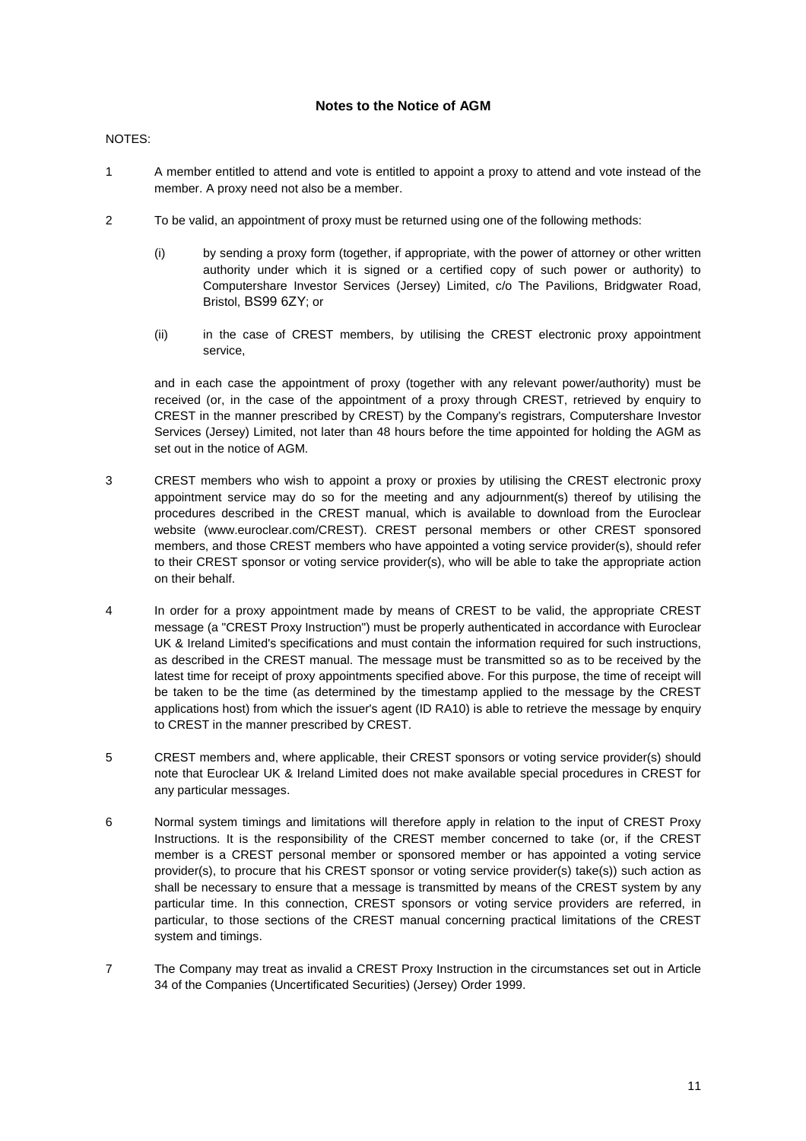### **Notes to the Notice of AGM**

#### NOTES:

- 1 A member entitled to attend and vote is entitled to appoint a proxy to attend and vote instead of the member. A proxy need not also be a member.
- 2 To be valid, an appointment of proxy must be returned using one of the following methods:
	- (i) by sending a proxy form (together, if appropriate, with the power of attorney or other written authority under which it is signed or a certified copy of such power or authority) to Computershare Investor Services (Jersey) Limited, c/o The Pavilions, Bridgwater Road, Bristol, BS99 6ZY; or
	- (ii) in the case of CREST members, by utilising the CREST electronic proxy appointment service,

and in each case the appointment of proxy (together with any relevant power/authority) must be received (or, in the case of the appointment of a proxy through CREST, retrieved by enquiry to CREST in the manner prescribed by CREST) by the Company's registrars, Computershare Investor Services (Jersey) Limited, not later than 48 hours before the time appointed for holding the AGM as set out in the notice of AGM.

- 3 CREST members who wish to appoint a proxy or proxies by utilising the CREST electronic proxy appointment service may do so for the meeting and any adjournment(s) thereof by utilising the procedures described in the CREST manual, which is available to download from the Euroclear website (www.euroclear.com/CREST). CREST personal members or other CREST sponsored members, and those CREST members who have appointed a voting service provider(s), should refer to their CREST sponsor or voting service provider(s), who will be able to take the appropriate action on their behalf.
- 4 In order for a proxy appointment made by means of CREST to be valid, the appropriate CREST message (a "CREST Proxy Instruction") must be properly authenticated in accordance with Euroclear UK & Ireland Limited's specifications and must contain the information required for such instructions, as described in the CREST manual. The message must be transmitted so as to be received by the latest time for receipt of proxy appointments specified above. For this purpose, the time of receipt will be taken to be the time (as determined by the timestamp applied to the message by the CREST applications host) from which the issuer's agent (ID RA10) is able to retrieve the message by enquiry to CREST in the manner prescribed by CREST.
- 5 CREST members and, where applicable, their CREST sponsors or voting service provider(s) should note that Euroclear UK & Ireland Limited does not make available special procedures in CREST for any particular messages.
- 6 Normal system timings and limitations will therefore apply in relation to the input of CREST Proxy Instructions. It is the responsibility of the CREST member concerned to take (or, if the CREST member is a CREST personal member or sponsored member or has appointed a voting service provider(s), to procure that his CREST sponsor or voting service provider(s) take(s)) such action as shall be necessary to ensure that a message is transmitted by means of the CREST system by any particular time. In this connection, CREST sponsors or voting service providers are referred, in particular, to those sections of the CREST manual concerning practical limitations of the CREST system and timings.
- 7 The Company may treat as invalid a CREST Proxy Instruction in the circumstances set out in Article 34 of the Companies (Uncertificated Securities) (Jersey) Order 1999.